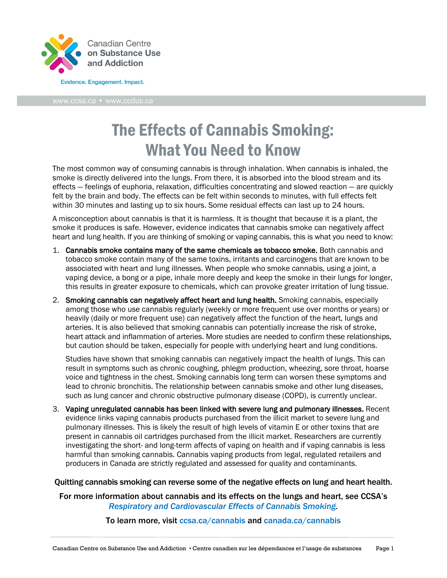

## The Effects of Cannabis Smoking: What You Need to Know

The most common way of consuming cannabis is through inhalation. When cannabis is inhaled, the smoke is directly delivered into the lungs. From there, it is absorbed into the blood stream and its effects — feelings of euphoria, relaxation, difficulties concentrating and slowed reaction — are quickly felt by the brain and body. The effects can be felt within seconds to minutes, with full effects felt within 30 minutes and lasting up to six hours. Some residual effects can last up to 24 hours.

A misconception about cannabis is that it is harmless. It is thought that because it is a plant, the smoke it produces is safe. However, evidence indicates that cannabis smoke can negatively affect heart and lung health. If you are thinking of smoking or vaping cannabis, this is what you need to know:

- 1. Cannabis smoke contains many of the same chemicals as tobacco smoke. Both cannabis and tobacco smoke contain many of the same toxins, irritants and carcinogens that are known to be associated with heart and lung illnesses. When people who smoke cannabis, using a joint, a vaping device, a bong or a pipe, inhale more deeply and keep the smoke in their lungs for longer, this results in greater exposure to chemicals, which can provoke greater irritation of lung tissue.
- 2. Smoking cannabis can negatively affect heart and lung health. Smoking cannabis, especially among those who use cannabis regularly (weekly or more frequent use over months or years) or heavily (daily or more frequent use) can negatively affect the function of the heart, lungs and arteries. It is also believed that smoking cannabis can potentially increase the risk of stroke, heart attack and inflammation of arteries. More studies are needed to confirm these relationships, but caution should be taken, especially for people with underlying heart and lung conditions.

Studies have shown that smoking cannabis can negatively impact the health of lungs. This can result in symptoms such as chronic coughing, phlegm production, wheezing, sore throat, hoarse voice and tightness in the chest. Smoking cannabis long term can worsen these symptoms and lead to chronic bronchitis. The relationship between cannabis smoke and other lung diseases, such as lung cancer and chronic obstructive pulmonary disease (COPD), is currently unclear.

3. Vaping unregulated cannabis has been linked with severe lung and pulmonary illnesses. Recent evidence links vaping cannabis products purchased from the illicit market to severe lung and pulmonary illnesses. This is likely the result of high levels of vitamin E or other toxins that are present in cannabis oil cartridges purchased from the illicit market. Researchers are currently investigating the short- and long-term affects of vaping on health and if vaping cannabis is less harmful than smoking cannabis. Cannabis vaping products from legal, regulated retailers and producers in Canada are strictly regulated and assessed for quality and contaminants.

## Quitting cannabis smoking can reverse some of the negative effects on lung and heart health.

For more information about cannabis and its effects on the lungs and heart, see CCSA's *[Respiratory and Cardiovascular Effects of Cannabis Smoking](https://www.ccsa.ca/clearing-smoke-cannabis-respiratory-and-cardiovascular-effects-cannabis-smoking-report)*.

To learn more, visit [ccsa.ca/cannabis](https://www.ccsa.ca/cannabis) and [canada.ca/cannabis](https://www.canada.ca/cannabis)